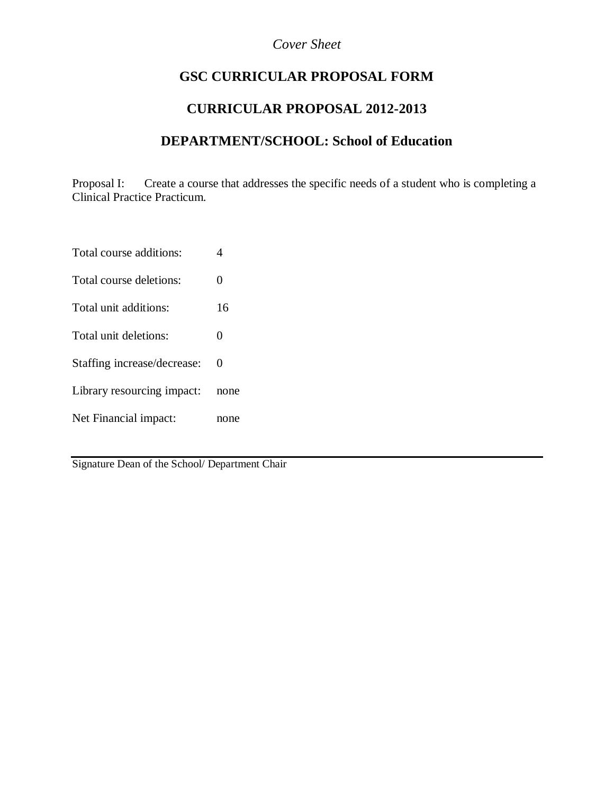## *Cover Sheet*

# **GSC CURRICULAR PROPOSAL FORM**

# **CURRICULAR PROPOSAL 2012-2013**

## **DEPARTMENT/SCHOOL: School of Education**

Proposal I: Create a course that addresses the specific needs of a student who is completing a Clinical Practice Practicum.

Total course additions: 4

Total course deletions: 0

Total unit additions: 16

Total unit deletions: 0

Staffing increase/decrease: 0

Library resourcing impact: none

Net Financial impact: none

Signature Dean of the School/ Department Chair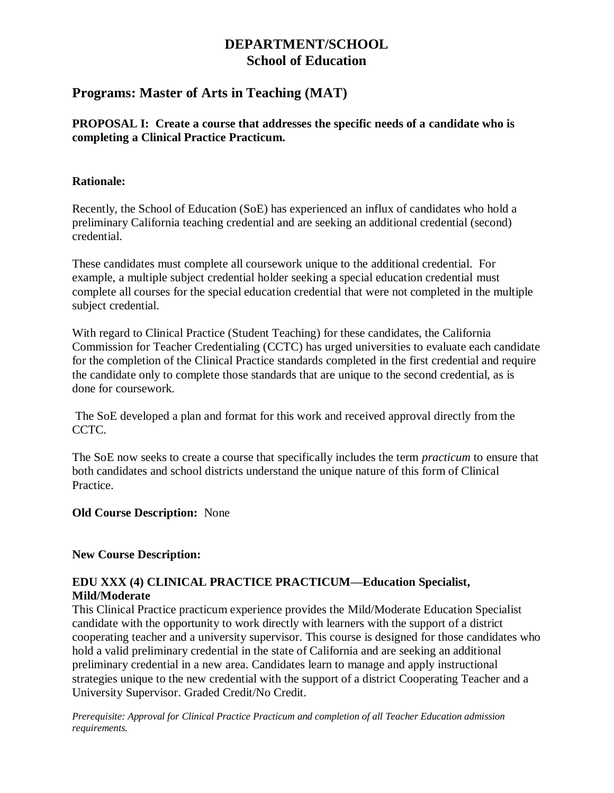# **DEPARTMENT/SCHOOL School of Education**

## **Programs: Master of Arts in Teaching (MAT)**

## **PROPOSAL I: Create a course that addresses the specific needs of a candidate who is completing a Clinical Practice Practicum.**

### **Rationale:**

Recently, the School of Education (SoE) has experienced an influx of candidates who hold a preliminary California teaching credential and are seeking an additional credential (second) credential.

These candidates must complete all coursework unique to the additional credential. For example, a multiple subject credential holder seeking a special education credential must complete all courses for the special education credential that were not completed in the multiple subject credential.

With regard to Clinical Practice (Student Teaching) for these candidates, the California Commission for Teacher Credentialing (CCTC) has urged universities to evaluate each candidate for the completion of the Clinical Practice standards completed in the first credential and require the candidate only to complete those standards that are unique to the second credential, as is done for coursework.

The SoE developed a plan and format for this work and received approval directly from the CCTC.

The SoE now seeks to create a course that specifically includes the term *practicum* to ensure that both candidates and school districts understand the unique nature of this form of Clinical Practice.

#### **Old Course Description:** None

#### **New Course Description:**

## **EDU XXX (4) CLINICAL PRACTICE PRACTICUM—Education Specialist, Mild/Moderate**

This Clinical Practice practicum experience provides the Mild/Moderate Education Specialist candidate with the opportunity to work directly with learners with the support of a district cooperating teacher and a university supervisor. This course is designed for those candidates who hold a valid preliminary credential in the state of California and are seeking an additional preliminary credential in a new area. Candidates learn to manage and apply instructional strategies unique to the new credential with the support of a district Cooperating Teacher and a University Supervisor. Graded Credit/No Credit.

*Prerequisite: Approval for Clinical Practice Practicum and completion of all Teacher Education admission requirements.*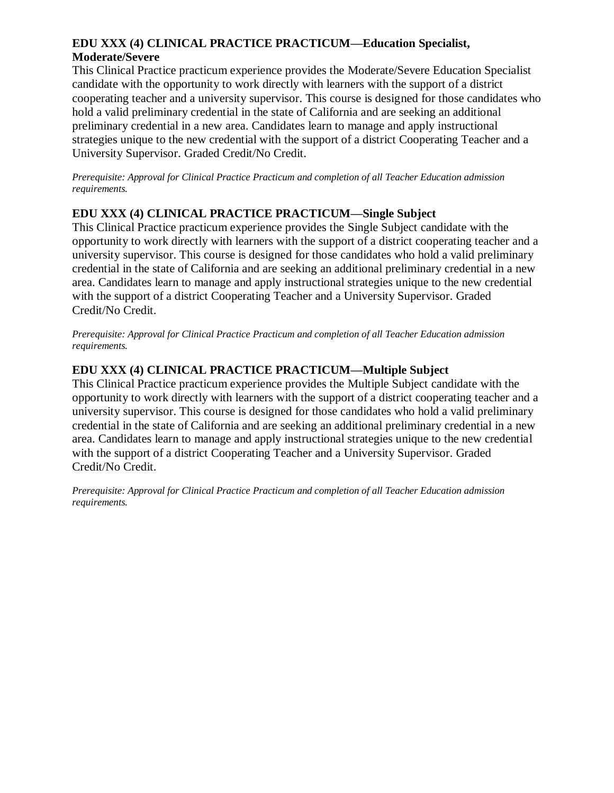## **EDU XXX (4) CLINICAL PRACTICE PRACTICUM—Education Specialist, Moderate/Severe**

This Clinical Practice practicum experience provides the Moderate/Severe Education Specialist candidate with the opportunity to work directly with learners with the support of a district cooperating teacher and a university supervisor. This course is designed for those candidates who hold a valid preliminary credential in the state of California and are seeking an additional preliminary credential in a new area. Candidates learn to manage and apply instructional strategies unique to the new credential with the support of a district Cooperating Teacher and a University Supervisor. Graded Credit/No Credit.

*Prerequisite: Approval for Clinical Practice Practicum and completion of all Teacher Education admission requirements.*

### **EDU XXX (4) CLINICAL PRACTICE PRACTICUM—Single Subject**

This Clinical Practice practicum experience provides the Single Subject candidate with the opportunity to work directly with learners with the support of a district cooperating teacher and a university supervisor. This course is designed for those candidates who hold a valid preliminary credential in the state of California and are seeking an additional preliminary credential in a new area. Candidates learn to manage and apply instructional strategies unique to the new credential with the support of a district Cooperating Teacher and a University Supervisor. Graded Credit/No Credit.

*Prerequisite: Approval for Clinical Practice Practicum and completion of all Teacher Education admission requirements.*

## **EDU XXX (4) CLINICAL PRACTICE PRACTICUM—Multiple Subject**

This Clinical Practice practicum experience provides the Multiple Subject candidate with the opportunity to work directly with learners with the support of a district cooperating teacher and a university supervisor. This course is designed for those candidates who hold a valid preliminary credential in the state of California and are seeking an additional preliminary credential in a new area. Candidates learn to manage and apply instructional strategies unique to the new credential with the support of a district Cooperating Teacher and a University Supervisor. Graded Credit/No Credit.

*Prerequisite: Approval for Clinical Practice Practicum and completion of all Teacher Education admission requirements.*